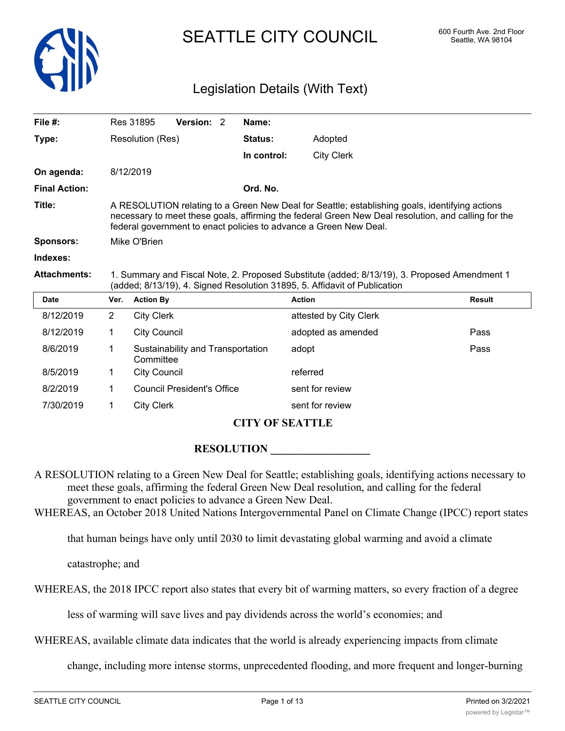

# SEATTLE CITY COUNCIL 600 Fourth Ave. 2nd Floor

## Legislation Details (With Text)

| File $#$ :           |                                                                                                                                                                                                                                                                            | Version: 2<br>Res 31895                        | Name:          |                        |               |  |
|----------------------|----------------------------------------------------------------------------------------------------------------------------------------------------------------------------------------------------------------------------------------------------------------------------|------------------------------------------------|----------------|------------------------|---------------|--|
| Type:                |                                                                                                                                                                                                                                                                            | Resolution (Res)                               | <b>Status:</b> | Adopted                |               |  |
|                      |                                                                                                                                                                                                                                                                            |                                                | In control:    | <b>City Clerk</b>      |               |  |
| On agenda:           |                                                                                                                                                                                                                                                                            | 8/12/2019                                      |                |                        |               |  |
| <b>Final Action:</b> |                                                                                                                                                                                                                                                                            |                                                | Ord. No.       |                        |               |  |
| Title:               | A RESOLUTION relating to a Green New Deal for Seattle; establishing goals, identifying actions<br>necessary to meet these goals, affirming the federal Green New Deal resolution, and calling for the<br>federal government to enact policies to advance a Green New Deal. |                                                |                |                        |               |  |
| Sponsors:            | Mike O'Brien                                                                                                                                                                                                                                                               |                                                |                |                        |               |  |
| Indexes:             |                                                                                                                                                                                                                                                                            |                                                |                |                        |               |  |
| <b>Attachments:</b>  | 1. Summary and Fiscal Note, 2. Proposed Substitute (added; 8/13/19), 3. Proposed Amendment 1<br>(added; 8/13/19), 4. Signed Resolution 31895, 5. Affidavit of Publication                                                                                                  |                                                |                |                        |               |  |
| <b>Date</b>          | Ver.                                                                                                                                                                                                                                                                       | <b>Action By</b>                               |                | <b>Action</b>          | <b>Result</b> |  |
| 8/12/2019            | $\overline{2}$                                                                                                                                                                                                                                                             | <b>City Clerk</b>                              |                | attested by City Clerk |               |  |
| 8/12/2019            | 1                                                                                                                                                                                                                                                                          | <b>City Council</b>                            |                | adopted as amended     | Pass          |  |
| 8/6/2019             | 1                                                                                                                                                                                                                                                                          | Sustainability and Transportation<br>Committee |                | adopt                  | Pass          |  |
| 8/5/2019             | 1                                                                                                                                                                                                                                                                          | <b>City Council</b>                            |                | referred               |               |  |
| 8/2/2019             | $\mathbf 1$                                                                                                                                                                                                                                                                | <b>Council President's Office</b>              |                | sent for review        |               |  |
| 7/30/2019            | 1                                                                                                                                                                                                                                                                          | <b>City Clerk</b>                              |                | sent for review        |               |  |
|                      |                                                                                                                                                                                                                                                                            |                                                |                |                        |               |  |

## **CITY OF SEATTLE**

## **RESOLUTION**

A RESOLUTION relating to a Green New Deal for Seattle; establishing goals, identifying actions necessary to meet these goals, affirming the federal Green New Deal resolution, and calling for the federal government to enact policies to advance a Green New Deal.

WHEREAS, an October 2018 United Nations Intergovernmental Panel on Climate Change (IPCC) report states

that human beings have only until 2030 to limit devastating global warming and avoid a climate

catastrophe; and

WHEREAS, the 2018 IPCC report also states that every bit of warming matters, so every fraction of a degree

less of warming will save lives and pay dividends across the world's economies; and

WHEREAS, available climate data indicates that the world is already experiencing impacts from climate

change, including more intense storms, unprecedented flooding, and more frequent and longer-burning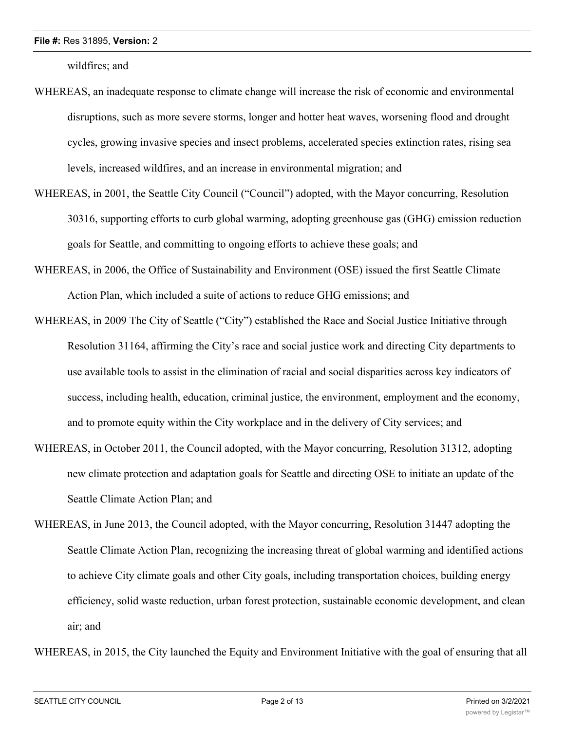wildfires; and

- WHEREAS, an inadequate response to climate change will increase the risk of economic and environmental disruptions, such as more severe storms, longer and hotter heat waves, worsening flood and drought cycles, growing invasive species and insect problems, accelerated species extinction rates, rising sea levels, increased wildfires, and an increase in environmental migration; and
- WHEREAS, in 2001, the Seattle City Council ("Council") adopted, with the Mayor concurring, Resolution 30316, supporting efforts to curb global warming, adopting greenhouse gas (GHG) emission reduction goals for Seattle, and committing to ongoing efforts to achieve these goals; and
- WHEREAS, in 2006, the Office of Sustainability and Environment (OSE) issued the first Seattle Climate Action Plan, which included a suite of actions to reduce GHG emissions; and
- WHEREAS, in 2009 The City of Seattle ("City") established the Race and Social Justice Initiative through Resolution 31164, affirming the City's race and social justice work and directing City departments to use available tools to assist in the elimination of racial and social disparities across key indicators of success, including health, education, criminal justice, the environment, employment and the economy, and to promote equity within the City workplace and in the delivery of City services; and
- WHEREAS, in October 2011, the Council adopted, with the Mayor concurring, Resolution 31312, adopting new climate protection and adaptation goals for Seattle and directing OSE to initiate an update of the Seattle Climate Action Plan; and
- WHEREAS, in June 2013, the Council adopted, with the Mayor concurring, Resolution 31447 adopting the Seattle Climate Action Plan, recognizing the increasing threat of global warming and identified actions to achieve City climate goals and other City goals, including transportation choices, building energy efficiency, solid waste reduction, urban forest protection, sustainable economic development, and clean air; and

WHEREAS, in 2015, the City launched the Equity and Environment Initiative with the goal of ensuring that all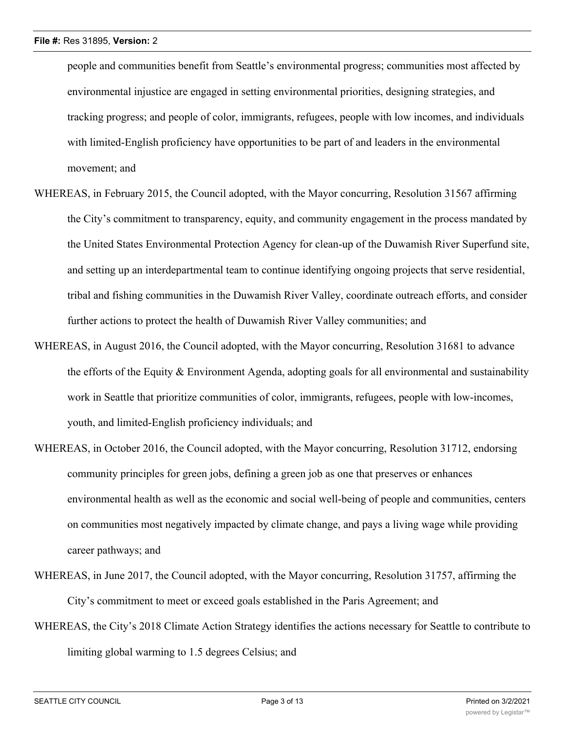people and communities benefit from Seattle's environmental progress; communities most affected by environmental injustice are engaged in setting environmental priorities, designing strategies, and tracking progress; and people of color, immigrants, refugees, people with low incomes, and individuals with limited-English proficiency have opportunities to be part of and leaders in the environmental movement; and

- WHEREAS, in February 2015, the Council adopted, with the Mayor concurring, Resolution 31567 affirming the City's commitment to transparency, equity, and community engagement in the process mandated by the United States Environmental Protection Agency for clean-up of the Duwamish River Superfund site, and setting up an interdepartmental team to continue identifying ongoing projects that serve residential, tribal and fishing communities in the Duwamish River Valley, coordinate outreach efforts, and consider further actions to protect the health of Duwamish River Valley communities; and
- WHEREAS, in August 2016, the Council adopted, with the Mayor concurring, Resolution 31681 to advance the efforts of the Equity & Environment Agenda, adopting goals for all environmental and sustainability work in Seattle that prioritize communities of color, immigrants, refugees, people with low-incomes, youth, and limited-English proficiency individuals; and
- WHEREAS, in October 2016, the Council adopted, with the Mayor concurring, Resolution 31712, endorsing community principles for green jobs, defining a green job as one that preserves or enhances environmental health as well as the economic and social well-being of people and communities, centers on communities most negatively impacted by climate change, and pays a living wage while providing career pathways; and
- WHEREAS, in June 2017, the Council adopted, with the Mayor concurring, Resolution 31757, affirming the City's commitment to meet or exceed goals established in the Paris Agreement; and
- WHEREAS, the City's 2018 Climate Action Strategy identifies the actions necessary for Seattle to contribute to limiting global warming to 1.5 degrees Celsius; and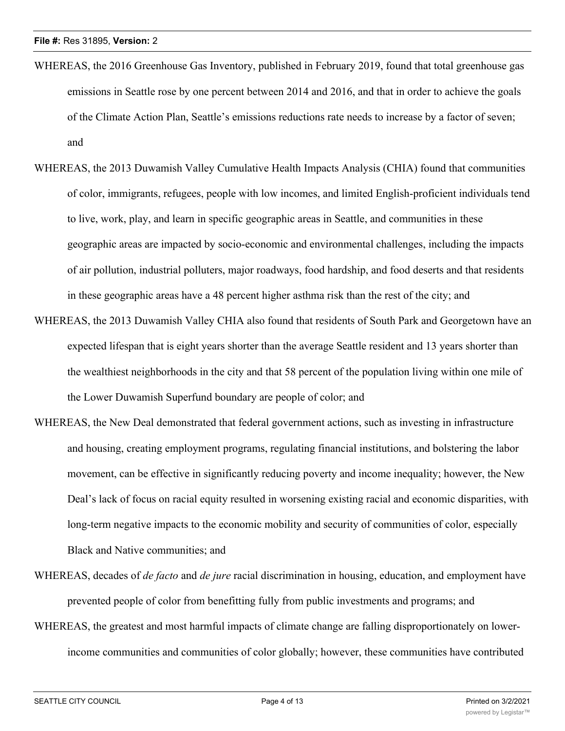- WHEREAS, the 2016 Greenhouse Gas Inventory, published in February 2019, found that total greenhouse gas emissions in Seattle rose by one percent between 2014 and 2016, and that in order to achieve the goals of the Climate Action Plan, Seattle's emissions reductions rate needs to increase by a factor of seven; and
- WHEREAS, the 2013 Duwamish Valley Cumulative Health Impacts Analysis (CHIA) found that communities of color, immigrants, refugees, people with low incomes, and limited English-proficient individuals tend to live, work, play, and learn in specific geographic areas in Seattle, and communities in these geographic areas are impacted by socio-economic and environmental challenges, including the impacts of air pollution, industrial polluters, major roadways, food hardship, and food deserts and that residents in these geographic areas have a 48 percent higher asthma risk than the rest of the city; and
- WHEREAS, the 2013 Duwamish Valley CHIA also found that residents of South Park and Georgetown have an expected lifespan that is eight years shorter than the average Seattle resident and 13 years shorter than the wealthiest neighborhoods in the city and that 58 percent of the population living within one mile of the Lower Duwamish Superfund boundary are people of color; and
- WHEREAS, the New Deal demonstrated that federal government actions, such as investing in infrastructure and housing, creating employment programs, regulating financial institutions, and bolstering the labor movement, can be effective in significantly reducing poverty and income inequality; however, the New Deal's lack of focus on racial equity resulted in worsening existing racial and economic disparities, with long-term negative impacts to the economic mobility and security of communities of color, especially Black and Native communities; and
- WHEREAS, decades of *de facto* and *de jure* racial discrimination in housing, education, and employment have prevented people of color from benefitting fully from public investments and programs; and
- WHEREAS, the greatest and most harmful impacts of climate change are falling disproportionately on lowerincome communities and communities of color globally; however, these communities have contributed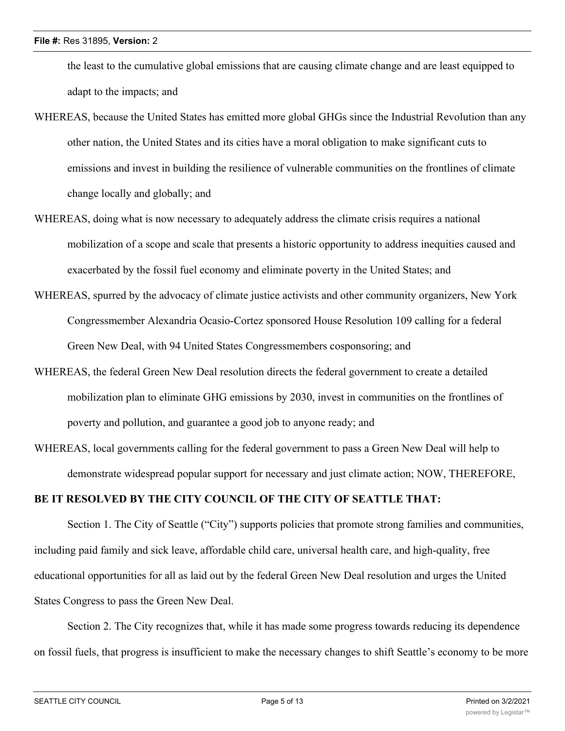the least to the cumulative global emissions that are causing climate change and are least equipped to adapt to the impacts; and

- WHEREAS, because the United States has emitted more global GHGs since the Industrial Revolution than any other nation, the United States and its cities have a moral obligation to make significant cuts to emissions and invest in building the resilience of vulnerable communities on the frontlines of climate change locally and globally; and
- WHEREAS, doing what is now necessary to adequately address the climate crisis requires a national mobilization of a scope and scale that presents a historic opportunity to address inequities caused and exacerbated by the fossil fuel economy and eliminate poverty in the United States; and
- WHEREAS, spurred by the advocacy of climate justice activists and other community organizers, New York Congressmember Alexandria Ocasio-Cortez sponsored House Resolution 109 calling for a federal Green New Deal, with 94 United States Congressmembers cosponsoring; and
- WHEREAS, the federal Green New Deal resolution directs the federal government to create a detailed mobilization plan to eliminate GHG emissions by 2030, invest in communities on the frontlines of poverty and pollution, and guarantee a good job to anyone ready; and
- WHEREAS, local governments calling for the federal government to pass a Green New Deal will help to demonstrate widespread popular support for necessary and just climate action; NOW, THEREFORE,

## **BE IT RESOLVED BY THE CITY COUNCIL OF THE CITY OF SEATTLE THAT:**

Section 1. The City of Seattle ("City") supports policies that promote strong families and communities, including paid family and sick leave, affordable child care, universal health care, and high-quality, free educational opportunities for all as laid out by the federal Green New Deal resolution and urges the United States Congress to pass the Green New Deal.

Section 2. The City recognizes that, while it has made some progress towards reducing its dependence on fossil fuels, that progress is insufficient to make the necessary changes to shift Seattle's economy to be more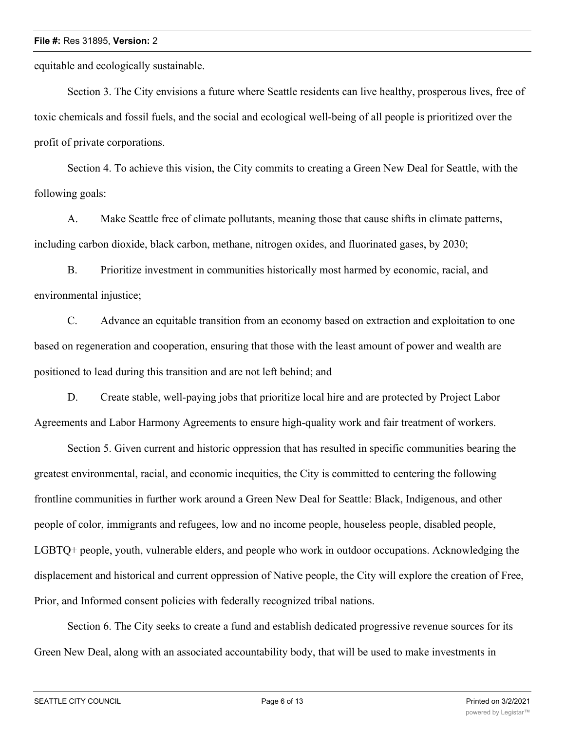equitable and ecologically sustainable.

Section 3. The City envisions a future where Seattle residents can live healthy, prosperous lives, free of toxic chemicals and fossil fuels, and the social and ecological well-being of all people is prioritized over the profit of private corporations.

Section 4. To achieve this vision, the City commits to creating a Green New Deal for Seattle, with the following goals:

A. Make Seattle free of climate pollutants, meaning those that cause shifts in climate patterns, including carbon dioxide, black carbon, methane, nitrogen oxides, and fluorinated gases, by 2030;

B. Prioritize investment in communities historically most harmed by economic, racial, and environmental injustice;

C. Advance an equitable transition from an economy based on extraction and exploitation to one based on regeneration and cooperation, ensuring that those with the least amount of power and wealth are positioned to lead during this transition and are not left behind; and

D. Create stable, well-paying jobs that prioritize local hire and are protected by Project Labor Agreements and Labor Harmony Agreements to ensure high-quality work and fair treatment of workers.

Section 5. Given current and historic oppression that has resulted in specific communities bearing the greatest environmental, racial, and economic inequities, the City is committed to centering the following frontline communities in further work around a Green New Deal for Seattle: Black, Indigenous, and other people of color, immigrants and refugees, low and no income people, houseless people, disabled people, LGBTQ+ people, youth, vulnerable elders, and people who work in outdoor occupations. Acknowledging the displacement and historical and current oppression of Native people, the City will explore the creation of Free, Prior, and Informed consent policies with federally recognized tribal nations.

Section 6. The City seeks to create a fund and establish dedicated progressive revenue sources for its Green New Deal, along with an associated accountability body, that will be used to make investments in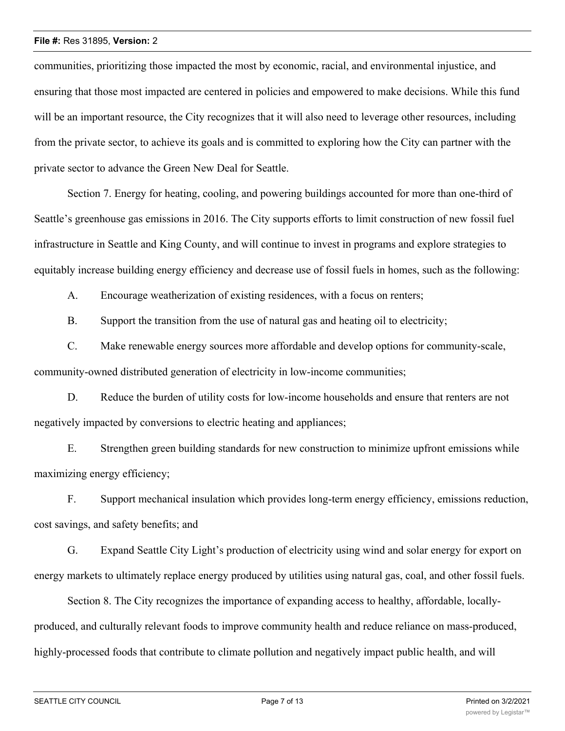communities, prioritizing those impacted the most by economic, racial, and environmental injustice, and ensuring that those most impacted are centered in policies and empowered to make decisions. While this fund will be an important resource, the City recognizes that it will also need to leverage other resources, including from the private sector, to achieve its goals and is committed to exploring how the City can partner with the private sector to advance the Green New Deal for Seattle.

Section 7. Energy for heating, cooling, and powering buildings accounted for more than one-third of Seattle's greenhouse gas emissions in 2016. The City supports efforts to limit construction of new fossil fuel infrastructure in Seattle and King County, and will continue to invest in programs and explore strategies to equitably increase building energy efficiency and decrease use of fossil fuels in homes, such as the following:

A. Encourage weatherization of existing residences, with a focus on renters;

B. Support the transition from the use of natural gas and heating oil to electricity;

C. Make renewable energy sources more affordable and develop options for community-scale, community-owned distributed generation of electricity in low-income communities;

D. Reduce the burden of utility costs for low-income households and ensure that renters are not negatively impacted by conversions to electric heating and appliances;

E. Strengthen green building standards for new construction to minimize upfront emissions while maximizing energy efficiency;

F. Support mechanical insulation which provides long-term energy efficiency, emissions reduction, cost savings, and safety benefits; and

G. Expand Seattle City Light's production of electricity using wind and solar energy for export on energy markets to ultimately replace energy produced by utilities using natural gas, coal, and other fossil fuels.

Section 8. The City recognizes the importance of expanding access to healthy, affordable, locallyproduced, and culturally relevant foods to improve community health and reduce reliance on mass-produced, highly-processed foods that contribute to climate pollution and negatively impact public health, and will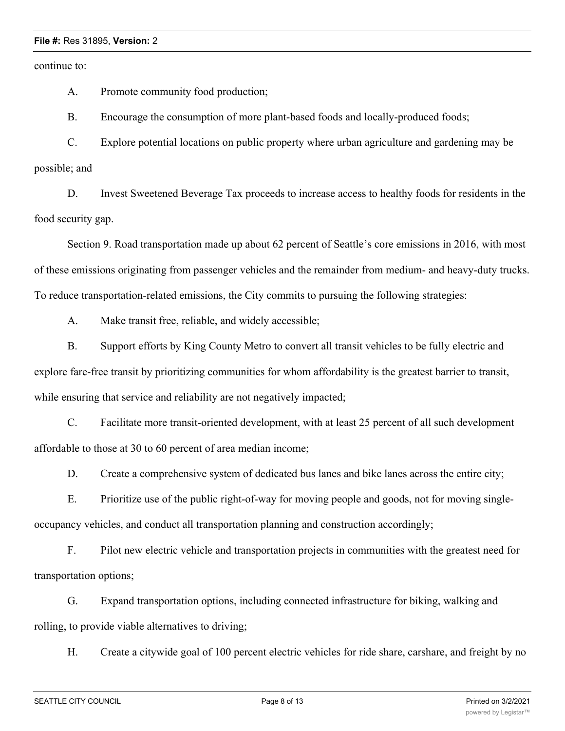continue to:

A. Promote community food production;

B. Encourage the consumption of more plant-based foods and locally-produced foods;

C. Explore potential locations on public property where urban agriculture and gardening may be possible; and

D. Invest Sweetened Beverage Tax proceeds to increase access to healthy foods for residents in the food security gap.

Section 9. Road transportation made up about 62 percent of Seattle's core emissions in 2016, with most of these emissions originating from passenger vehicles and the remainder from medium- and heavy-duty trucks. To reduce transportation-related emissions, the City commits to pursuing the following strategies:

A. Make transit free, reliable, and widely accessible;

B. Support efforts by King County Metro to convert all transit vehicles to be fully electric and explore fare-free transit by prioritizing communities for whom affordability is the greatest barrier to transit, while ensuring that service and reliability are not negatively impacted;

C. Facilitate more transit-oriented development, with at least 25 percent of all such development affordable to those at 30 to 60 percent of area median income;

D. Create a comprehensive system of dedicated bus lanes and bike lanes across the entire city;

E. Prioritize use of the public right-of-way for moving people and goods, not for moving singleoccupancy vehicles, and conduct all transportation planning and construction accordingly;

F. Pilot new electric vehicle and transportation projects in communities with the greatest need for transportation options;

G. Expand transportation options, including connected infrastructure for biking, walking and rolling, to provide viable alternatives to driving;

H. Create a citywide goal of 100 percent electric vehicles for ride share, carshare, and freight by no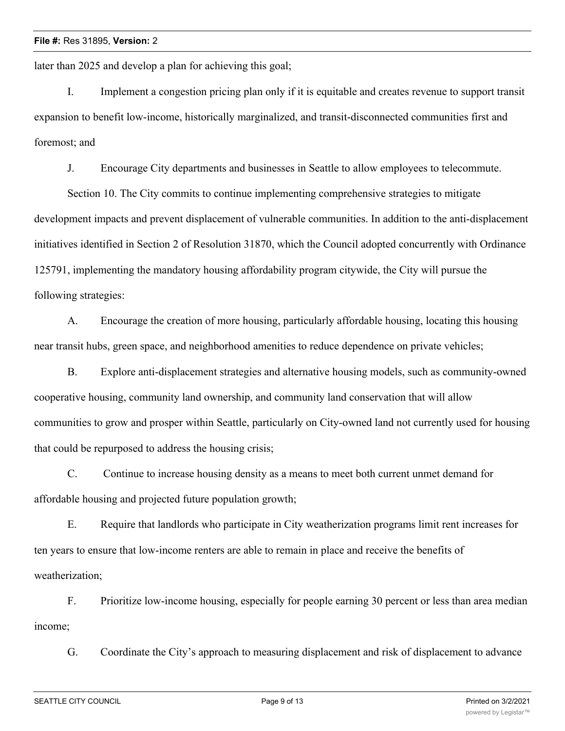later than 2025 and develop a plan for achieving this goal;

I. Implement a congestion pricing plan only if it is equitable and creates revenue to support transit expansion to benefit low-income, historically marginalized, and transit-disconnected communities first and foremost; and

J. Encourage City departments and businesses in Seattle to allow employees to telecommute.

Section 10. The City commits to continue implementing comprehensive strategies to mitigate development impacts and prevent displacement of vulnerable communities. In addition to the anti-displacement initiatives identified in Section 2 of Resolution 31870, which the Council adopted concurrently with Ordinance 125791, implementing the mandatory housing affordability program citywide, the City will pursue the following strategies:

A. Encourage the creation of more housing, particularly affordable housing, locating this housing near transit hubs, green space, and neighborhood amenities to reduce dependence on private vehicles;

B. Explore anti-displacement strategies and alternative housing models, such as community-owned cooperative housing, community land ownership, and community land conservation that will allow communities to grow and prosper within Seattle, particularly on City-owned land not currently used for housing that could be repurposed to address the housing crisis;

C. Continue to increase housing density as a means to meet both current unmet demand for affordable housing and projected future population growth;

E. Require that landlords who participate in City weatherization programs limit rent increases for ten years to ensure that low-income renters are able to remain in place and receive the benefits of weatherization;

F. Prioritize low-income housing, especially for people earning 30 percent or less than area median income;

G. Coordinate the City's approach to measuring displacement and risk of displacement to advance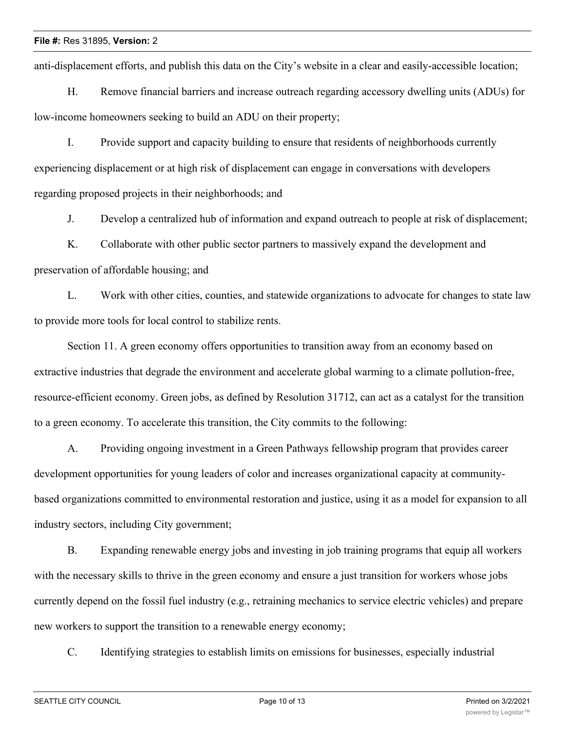anti-displacement efforts, and publish this data on the City's website in a clear and easily-accessible location;

H. Remove financial barriers and increase outreach regarding accessory dwelling units (ADUs) for low-income homeowners seeking to build an ADU on their property;

I. Provide support and capacity building to ensure that residents of neighborhoods currently experiencing displacement or at high risk of displacement can engage in conversations with developers regarding proposed projects in their neighborhoods; and

J. Develop a centralized hub of information and expand outreach to people at risk of displacement;

K. Collaborate with other public sector partners to massively expand the development and preservation of affordable housing; and

L. Work with other cities, counties, and statewide organizations to advocate for changes to state law to provide more tools for local control to stabilize rents.

Section 11. A green economy offers opportunities to transition away from an economy based on extractive industries that degrade the environment and accelerate global warming to a climate pollution-free, resource-efficient economy. Green jobs, as defined by Resolution 31712, can act as a catalyst for the transition to a green economy. To accelerate this transition, the City commits to the following:

A. Providing ongoing investment in a Green Pathways fellowship program that provides career development opportunities for young leaders of color and increases organizational capacity at communitybased organizations committed to environmental restoration and justice, using it as a model for expansion to all industry sectors, including City government;

B. Expanding renewable energy jobs and investing in job training programs that equip all workers with the necessary skills to thrive in the green economy and ensure a just transition for workers whose jobs currently depend on the fossil fuel industry (e.g., retraining mechanics to service electric vehicles) and prepare new workers to support the transition to a renewable energy economy;

C. Identifying strategies to establish limits on emissions for businesses, especially industrial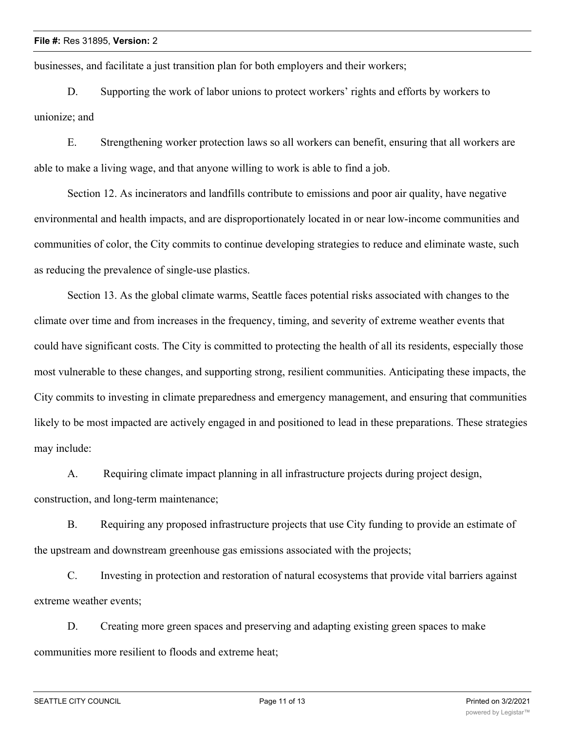businesses, and facilitate a just transition plan for both employers and their workers;

D. Supporting the work of labor unions to protect workers' rights and efforts by workers to unionize; and

E. Strengthening worker protection laws so all workers can benefit, ensuring that all workers are able to make a living wage, and that anyone willing to work is able to find a job.

Section 12. As incinerators and landfills contribute to emissions and poor air quality, have negative environmental and health impacts, and are disproportionately located in or near low-income communities and communities of color, the City commits to continue developing strategies to reduce and eliminate waste, such as reducing the prevalence of single-use plastics.

Section 13. As the global climate warms, Seattle faces potential risks associated with changes to the climate over time and from increases in the frequency, timing, and severity of extreme weather events that could have significant costs. The City is committed to protecting the health of all its residents, especially those most vulnerable to these changes, and supporting strong, resilient communities. Anticipating these impacts, the City commits to investing in climate preparedness and emergency management, and ensuring that communities likely to be most impacted are actively engaged in and positioned to lead in these preparations. These strategies may include:

A. Requiring climate impact planning in all infrastructure projects during project design, construction, and long-term maintenance;

B. Requiring any proposed infrastructure projects that use City funding to provide an estimate of the upstream and downstream greenhouse gas emissions associated with the projects;

C. Investing in protection and restoration of natural ecosystems that provide vital barriers against extreme weather events;

D. Creating more green spaces and preserving and adapting existing green spaces to make communities more resilient to floods and extreme heat;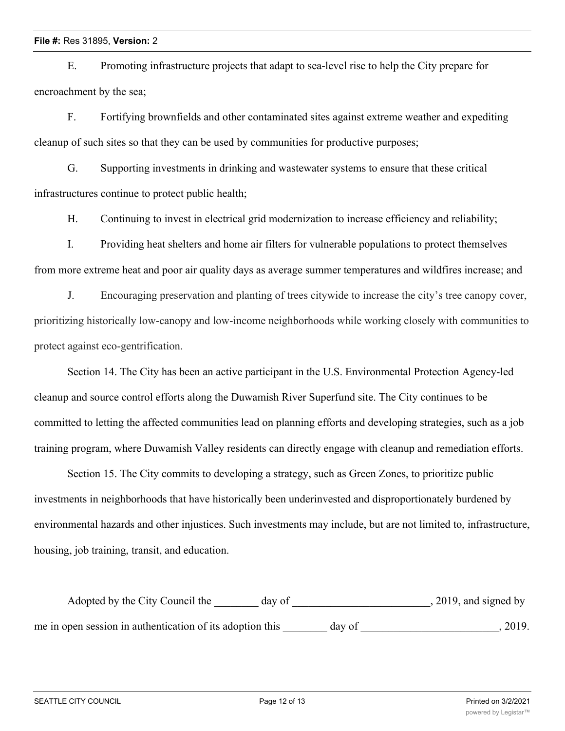E. Promoting infrastructure projects that adapt to sea-level rise to help the City prepare for encroachment by the sea;

F. Fortifying brownfields and other contaminated sites against extreme weather and expediting cleanup of such sites so that they can be used by communities for productive purposes;

G. Supporting investments in drinking and wastewater systems to ensure that these critical infrastructures continue to protect public health;

H. Continuing to invest in electrical grid modernization to increase efficiency and reliability;

I. Providing heat shelters and home air filters for vulnerable populations to protect themselves from more extreme heat and poor air quality days as average summer temperatures and wildfires increase; and

J. Encouraging preservation and planting of trees citywide to increase the city's tree canopy cover, prioritizing historically low-canopy and low-income neighborhoods while working closely with communities to protect against eco-gentrification.

Section 14. The City has been an active participant in the U.S. Environmental Protection Agency-led cleanup and source control efforts along the Duwamish River Superfund site. The City continues to be committed to letting the affected communities lead on planning efforts and developing strategies, such as a job training program, where Duwamish Valley residents can directly engage with cleanup and remediation efforts.

Section 15. The City commits to developing a strategy, such as Green Zones, to prioritize public investments in neighborhoods that have historically been underinvested and disproportionately burdened by environmental hazards and other injustices. Such investments may include, but are not limited to, infrastructure, housing, job training, transit, and education.

| Adopted by the City Council the                           | day of |        | $, 2019,$ and signed by |
|-----------------------------------------------------------|--------|--------|-------------------------|
| me in open session in authentication of its adoption this |        | day of | 2019.                   |